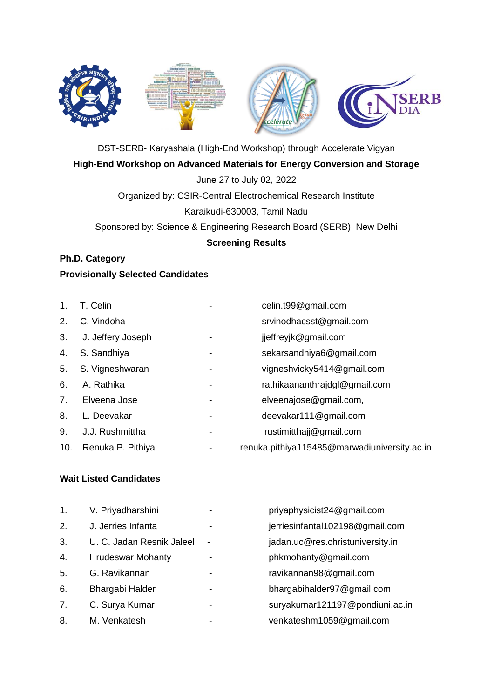

DST-SERB- Karyashala (High-End Workshop) through Accelerate Vigyan **High-End Workshop on Advanced Materials for Energy Conversion and Storage**

June 27 to July 02, 2022

Organized by: CSIR-Central Electrochemical Research Institute

Karaikudi-630003, Tamil Nadu

Sponsored by: Science & Engineering Research Board (SERB), New Delhi

#### **Screening Results**

## **Ph.D. Category**

#### **Provisionally Selected Candidates**

| 1.  | T. Celin          |                          | celin.t99@gmail.com                          |
|-----|-------------------|--------------------------|----------------------------------------------|
| 2.  | C. Vindoha        | $\overline{\phantom{a}}$ | srvinodhacsst@gmail.com                      |
| 3.  | J. Jeffery Joseph |                          | jjeffreyjk@gmail.com                         |
| 4.  | S. Sandhiya       |                          | sekarsandhiya6@gmail.com                     |
| 5.  | S. Vigneshwaran   |                          | vigneshvicky5414@gmail.com                   |
| 6.  | A. Rathika        | $\overline{\phantom{a}}$ | rathikaananthrajdgl@gmail.com                |
| 7.  | Elveena Jose      |                          | elveenajose@gmail.com,                       |
| 8.  | L. Deevakar       |                          | deevakar111@gmail.com                        |
| 9.  | J.J. Rushmittha   |                          | rustimitthajj@gmail.com                      |
| 10. | Renuka P. Pithiya |                          | renuka.pithiya115485@marwadiuniversity.ac.in |

#### **Wait Listed Candidates**

| 1. | V. Priyadharshini         | -                        | priyaphysicist24@gmail.com       |
|----|---------------------------|--------------------------|----------------------------------|
| 2. | J. Jerries Infanta        |                          | jerriesinfantal102198@gmail.com  |
| 3. | U. C. Jadan Resnik Jaleel | $\overline{\phantom{a}}$ | jadan.uc@res.christuniversity.in |
| 4. | <b>Hrudeswar Mohanty</b>  |                          | phkmohanty@gmail.com             |
| 5. | G. Ravikannan             | -                        | ravikannan98@gmail.com           |
| 6. | <b>Bhargabi Halder</b>    |                          | bhargabihalder97@gmail.com       |
| 7. | C. Surya Kumar            |                          | suryakumar121197@pondiuni.ac.in  |
| 8. | M. Venkatesh              |                          | venkateshm1059@gmail.com         |